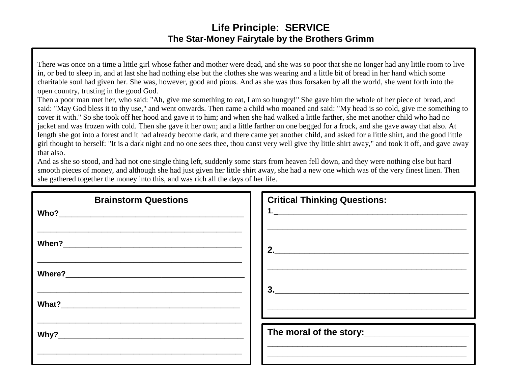## **Life Principle: SERVICE The Star-Money Fairytale by the Brothers Grimm**

There was once on a time a little girl whose father and mother were dead, and she was so poor that she no longer had any little room to live in, or bed to sleep in, and at last she had nothing else but the clothes she was wearing and a little bit of bread in her hand which some charitable soul had given her. She was, however, good and pious. And as she was thus forsaken by all the world, she went forth into the open country, trusting in the good God.

Then a poor man met her, who said: "Ah, give me something to eat, I am so hungry!" She gave him the whole of her piece of bread, and said: "May God bless it to thy use," and went onwards. Then came a child who moaned and said: "My head is so cold, give me something to cover it with." So she took off her hood and gave it to him; and when she had walked a little farther, she met another child who had no jacket and was frozen with cold. Then she gave it her own; and a little farther on one begged for a frock, and she gave away that also. At length she got into a forest and it had already become dark, and there came yet another child, and asked for a little shirt, and the good little girl thought to herself: "It is a dark night and no one sees thee, thou canst very well give thy little shirt away," and took it off, and gave away that also.

And as she so stood, and had not one single thing left, suddenly some stars from heaven fell down, and they were nothing else but hard smooth pieces of money, and although she had just given her little shirt away, she had a new one which was of the very finest linen. Then she gathered together the money into this, and was rich all the days of her life.

| <b>Brainstorm Questions</b> | <b>Critical Thinking Questions:</b>                                                                                                                                                                                                   |
|-----------------------------|---------------------------------------------------------------------------------------------------------------------------------------------------------------------------------------------------------------------------------------|
|                             | 2.                                                                                                                                                                                                                                    |
|                             |                                                                                                                                                                                                                                       |
|                             | $\begin{array}{c c c c c} \hline \textbf{3.} & \textbf{1.} & \textbf{1.} & \textbf{1.} \\ \hline \end{array}$<br><u> 2000 - Jan James James James James James James James James James James James James James James James James J</u> |
|                             | The moral of the story:______________________                                                                                                                                                                                         |
|                             |                                                                                                                                                                                                                                       |